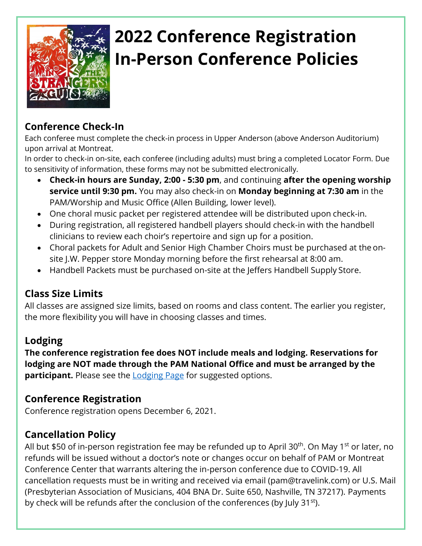

# **2022 Conference Registration In-Person Conference Policies**

#### **Conference Check-In**

Each conferee must complete the check-in process in Upper Anderson (above Anderson Auditorium) upon arrival at Montreat.

In order to check-in on-site, each conferee (including adults) must bring a [completed Locator](https://docs.wixstatic.com/ugd/c5003d_248efa23881843158f5bd4978a711dfb.pdf) [Form.](https://docs.wixstatic.com/ugd/c5003d_248efa23881843158f5bd4978a711dfb.pdf) Due to sensitivity of information, these forms may not be submitted electronically.

- **Check-in hours are Sunday, 2:00 - 5:30 pm**, and continuing **after the opening worship service until 9:30 pm.** You may also check-in on **Monday beginning at 7:30 am** in the PAM/Worship and Music Office (Allen Building, lower level).
- One choral music packet per registered attendee will be distributed upon check-in.
- During registration, all registered handbell players should check-in with the handbell clinicians to review each choir's repertoire and sign up for a position.
- Choral packets for Adult and Senior High Chamber Choirs must be purchased at the onsite J.W. Pepper store Monday morning before the first rehearsal at 8:00 am.
- Handbell Packets must be purchased on-site at the Jeffers Handbell Supply Store.

# **Class Size Limits**

All classes are assigned size limits, based on rooms and class content. The earlier you register, the more flexibility you will have in choosing classes and times.

# **Lodging**

**The conference registration fee does NOT include meals and lodging. Reservations for lodging are NOT made through the PAM National Office and must be arranged by the participant.** Please see the [Lodging Page](https://www.presbymusic.org/montreat-lodging) for suggested options.

# **Conference Registration**

Conference registration opens December 6, 2021.

# **Cancellation Policy**

All but \$50 of in-person registration fee may be refunded up to April 30<sup>th</sup>. On May 1<sup>st</sup> or later, no refunds will be issued without a doctor's note or changes occur on behalf of PAM or Montreat Conference Center that warrants altering the in-person conference due to COVID-19. All cancellation requests must be in writing and received via email (pam@travelink.com) or U.S. Mail (Presbyterian Association of Musicians, 404 BNA Dr. Suite 650, Nashville, TN 37217). Payments by check will be refunds after the conclusion of the conferences (by July 31<sup>st</sup>).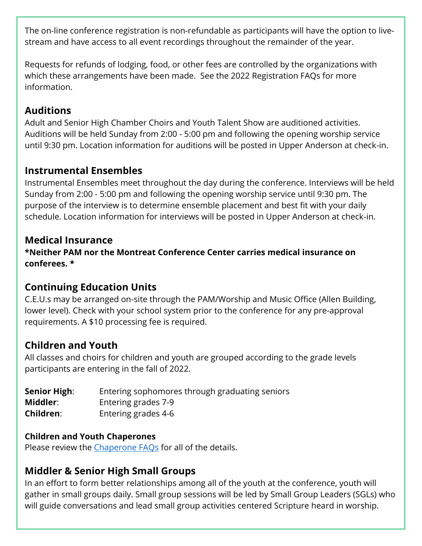The on-line conference registration is non-refundable as participants will have the option to livestream and have access to all event recordings throughout the remainder of the year.

Requests for refunds of lodging, food, or other fees are controlled by the organizations with which these arrangements have been made. See the 2022 Registration FAQs for more information.

#### **Auditions**

Adult and Senior High Chamber Choirs and Youth Talent Show are auditioned activities. Auditions will be held Sunday from 2:00 - 5:00 pm and following the opening worship service until 9:30 pm. Location information for auditions will be posted in Upper Anderson at check-in.

#### **Instrumental Ensembles**

Instrumental Ensembles meet throughout the day during the conference. Interviews will be held Sunday from 2:00 - 5:00 pm and following the opening worship service until 9:30 pm. The purpose of the interview is to determine ensemble placement and best fit with your daily schedule. Location information for interviews will be posted in Upper Anderson at check-in.

# **Medical Insurance**

**\*Neither PAM nor the Montreat Conference Center carries medical insurance on conferees. \***

# **Continuing Education Units**

C.E.U.s may be arranged on-site through the PAM/Worship and Music Office (Allen Building, lower level). Check with your school system prior to the conference for any pre-approval requirements. A \$10 processing fee is required.

# **Children and Youth**

All classes and choirs for children and youth are grouped according to the grade levels participants are entering in the fall of 2022.

| <b>Senior High:</b> | Entering sophomores through graduating seniors |
|---------------------|------------------------------------------------|
| Middler:            | Entering grades 7-9                            |
| Children:           | Entering grades 4-6                            |

#### **Children and Youth Chaperones**

Please review the [Chaperone FAQs](https://e996cc84-ef59-48d5-b476-38079374752e.filesusr.com/ugd/c5003d_00d6b1bc02504c46bd7e01ea059d97e1.pdf) for all of the details.

# **Middler & Senior High Small Groups**

In an effort to form better relationships among all of the youth at the conference, youth will gather in small groups daily. Small group sessions will be led by Small Group Leaders (SGLs) who will guide conversations and lead small group activities centered Scripture heard in worship.